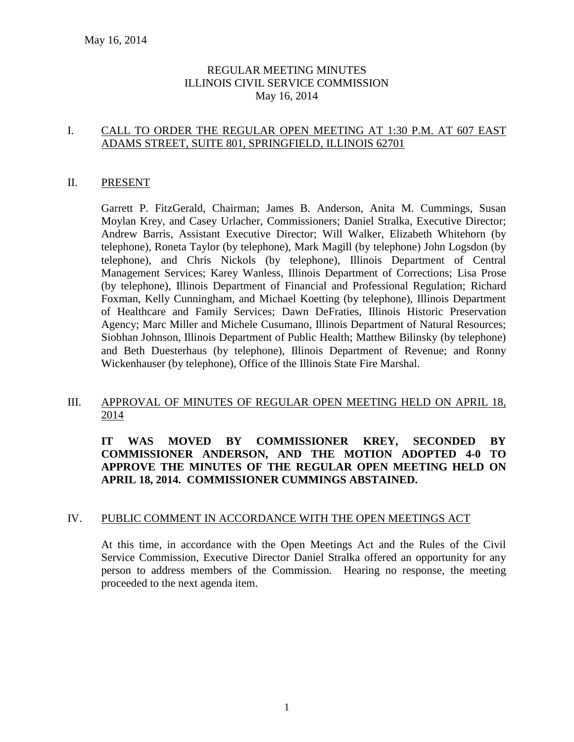## REGULAR MEETING MINUTES ILLINOIS CIVIL SERVICE COMMISSION May 16, 2014

#### I. CALL TO ORDER THE REGULAR OPEN MEETING AT 1:30 P.M. AT 607 EAST ADAMS STREET, SUITE 801, SPRINGFIELD, ILLINOIS 62701

#### II. PRESENT

Garrett P. FitzGerald, Chairman; James B. Anderson, Anita M. Cummings, Susan Moylan Krey, and Casey Urlacher, Commissioners; Daniel Stralka, Executive Director; Andrew Barris, Assistant Executive Director; Will Walker, Elizabeth Whitehorn (by telephone), Roneta Taylor (by telephone), Mark Magill (by telephone) John Logsdon (by telephone), and Chris Nickols (by telephone), Illinois Department of Central Management Services; Karey Wanless, Illinois Department of Corrections; Lisa Prose (by telephone), Illinois Department of Financial and Professional Regulation; Richard Foxman, Kelly Cunningham, and Michael Koetting (by telephone), Illinois Department of Healthcare and Family Services; Dawn DeFraties, Illinois Historic Preservation Agency; Marc Miller and Michele Cusumano, Illinois Department of Natural Resources; Siobhan Johnson, Illinois Department of Public Health; Matthew Bilinsky (by telephone) and Beth Duesterhaus (by telephone), Illinois Department of Revenue; and Ronny Wickenhauser (by telephone), Office of the Illinois State Fire Marshal.

#### III. APPROVAL OF MINUTES OF REGULAR OPEN MEETING HELD ON APRIL 18, 2014

## **IT WAS MOVED BY COMMISSIONER KREY, SECONDED BY COMMISSIONER ANDERSON, AND THE MOTION ADOPTED 4-0 TO APPROVE THE MINUTES OF THE REGULAR OPEN MEETING HELD ON APRIL 18, 2014. COMMISSIONER CUMMINGS ABSTAINED.**

#### IV. PUBLIC COMMENT IN ACCORDANCE WITH THE OPEN MEETINGS ACT

At this time, in accordance with the Open Meetings Act and the Rules of the Civil Service Commission, Executive Director Daniel Stralka offered an opportunity for any person to address members of the Commission. Hearing no response, the meeting proceeded to the next agenda item.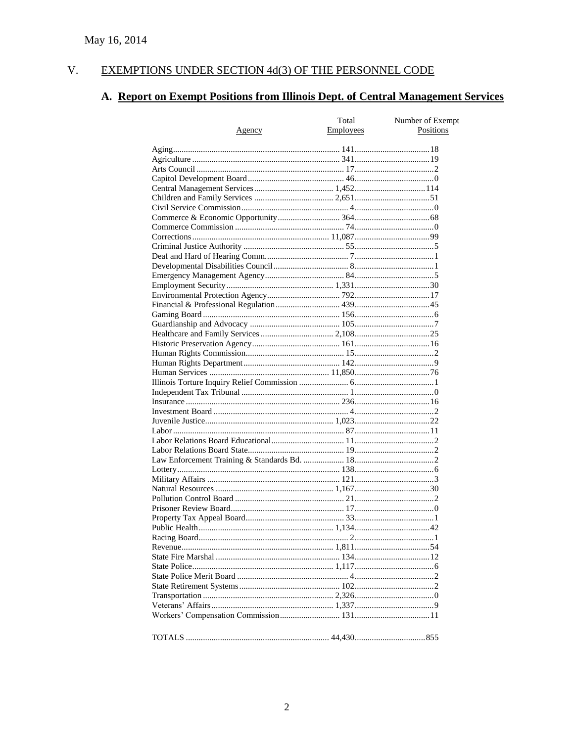#### $V<sub>r</sub>$ EXEMPTIONS UNDER SECTION 4d(3) OF THE PERSONNEL CODE

# A. Report on Exempt Positions from Illinois Dept. of Central Management Services

|        | Total     | Number of Exempt |
|--------|-----------|------------------|
| Agency | Employees | Positions        |
|        |           |                  |
|        |           |                  |
|        |           |                  |
|        |           |                  |
|        |           |                  |
|        |           |                  |
|        |           |                  |
|        |           |                  |
|        |           |                  |
|        |           |                  |
|        |           |                  |
|        |           |                  |
|        |           |                  |
|        |           |                  |
|        |           |                  |
|        |           |                  |
|        |           |                  |
|        |           |                  |
|        |           |                  |
|        |           |                  |
|        |           |                  |
|        |           |                  |
|        |           |                  |
|        |           |                  |
|        |           |                  |
|        |           |                  |
|        |           |                  |
|        |           |                  |
|        |           |                  |
|        |           |                  |
|        |           |                  |
|        |           |                  |
|        |           |                  |
|        |           |                  |
|        |           |                  |
|        |           |                  |
|        |           |                  |
|        |           |                  |
|        |           |                  |
|        |           |                  |
|        |           |                  |
|        |           |                  |
|        |           |                  |
|        |           |                  |
|        |           |                  |
|        |           |                  |
|        |           |                  |
|        |           |                  |
|        |           |                  |
|        |           |                  |
|        |           |                  |
|        |           |                  |
|        |           |                  |
|        |           |                  |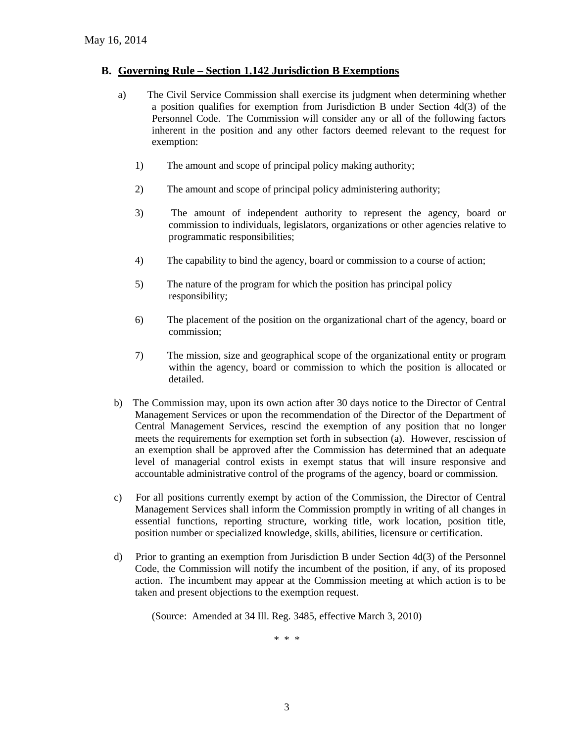#### **B. Governing Rule – Section 1.142 Jurisdiction B Exemptions**

- a) The Civil Service Commission shall exercise its judgment when determining whether a position qualifies for exemption from Jurisdiction B under Section 4d(3) of the Personnel Code. The Commission will consider any or all of the following factors inherent in the position and any other factors deemed relevant to the request for exemption:
	- 1) The amount and scope of principal policy making authority;
	- 2) The amount and scope of principal policy administering authority;
	- 3) The amount of independent authority to represent the agency, board or commission to individuals, legislators, organizations or other agencies relative to programmatic responsibilities;
	- 4) The capability to bind the agency, board or commission to a course of action;
	- 5) The nature of the program for which the position has principal policy responsibility;
	- 6) The placement of the position on the organizational chart of the agency, board or commission;
	- 7) The mission, size and geographical scope of the organizational entity or program within the agency, board or commission to which the position is allocated or detailed.
- b) The Commission may, upon its own action after 30 days notice to the Director of Central Management Services or upon the recommendation of the Director of the Department of Central Management Services, rescind the exemption of any position that no longer meets the requirements for exemption set forth in subsection (a). However, rescission of an exemption shall be approved after the Commission has determined that an adequate level of managerial control exists in exempt status that will insure responsive and accountable administrative control of the programs of the agency, board or commission.
- c) For all positions currently exempt by action of the Commission, the Director of Central Management Services shall inform the Commission promptly in writing of all changes in essential functions, reporting structure, working title, work location, position title, position number or specialized knowledge, skills, abilities, licensure or certification.
- d) Prior to granting an exemption from Jurisdiction B under Section 4d(3) of the Personnel Code, the Commission will notify the incumbent of the position, if any, of its proposed action. The incumbent may appear at the Commission meeting at which action is to be taken and present objections to the exemption request.

(Source: Amended at 34 Ill. Reg. 3485, effective March 3, 2010)

\* \* \*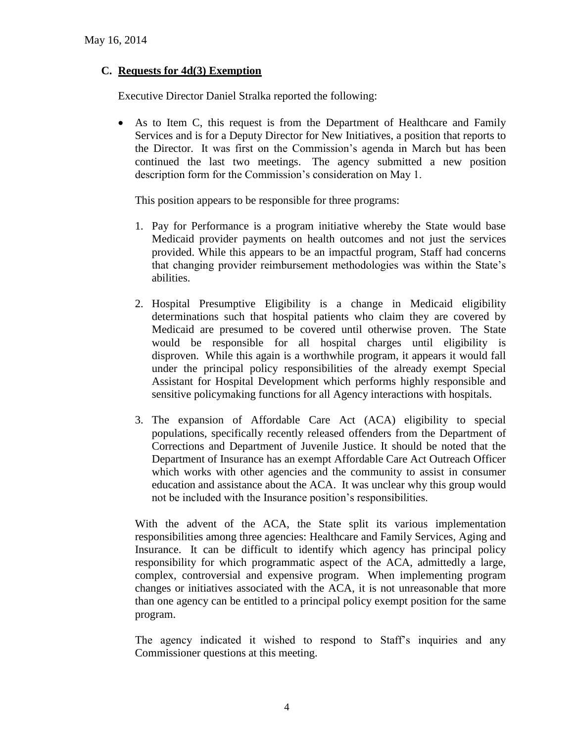## **C. Requests for 4d(3) Exemption**

Executive Director Daniel Stralka reported the following:

 As to Item C, this request is from the Department of Healthcare and Family Services and is for a Deputy Director for New Initiatives, a position that reports to the Director. It was first on the Commission's agenda in March but has been continued the last two meetings. The agency submitted a new position description form for the Commission's consideration on May 1.

This position appears to be responsible for three programs:

- 1. Pay for Performance is a program initiative whereby the State would base Medicaid provider payments on health outcomes and not just the services provided. While this appears to be an impactful program, Staff had concerns that changing provider reimbursement methodologies was within the State's abilities.
- 2. Hospital Presumptive Eligibility is a change in Medicaid eligibility determinations such that hospital patients who claim they are covered by Medicaid are presumed to be covered until otherwise proven. The State would be responsible for all hospital charges until eligibility is disproven. While this again is a worthwhile program, it appears it would fall under the principal policy responsibilities of the already exempt Special Assistant for Hospital Development which performs highly responsible and sensitive policymaking functions for all Agency interactions with hospitals.
- 3. The expansion of Affordable Care Act (ACA) eligibility to special populations, specifically recently released offenders from the Department of Corrections and Department of Juvenile Justice. It should be noted that the Department of Insurance has an exempt Affordable Care Act Outreach Officer which works with other agencies and the community to assist in consumer education and assistance about the ACA. It was unclear why this group would not be included with the Insurance position's responsibilities.

With the advent of the ACA, the State split its various implementation responsibilities among three agencies: Healthcare and Family Services, Aging and Insurance. It can be difficult to identify which agency has principal policy responsibility for which programmatic aspect of the ACA, admittedly a large, complex, controversial and expensive program. When implementing program changes or initiatives associated with the ACA, it is not unreasonable that more than one agency can be entitled to a principal policy exempt position for the same program.

The agency indicated it wished to respond to Staff's inquiries and any Commissioner questions at this meeting.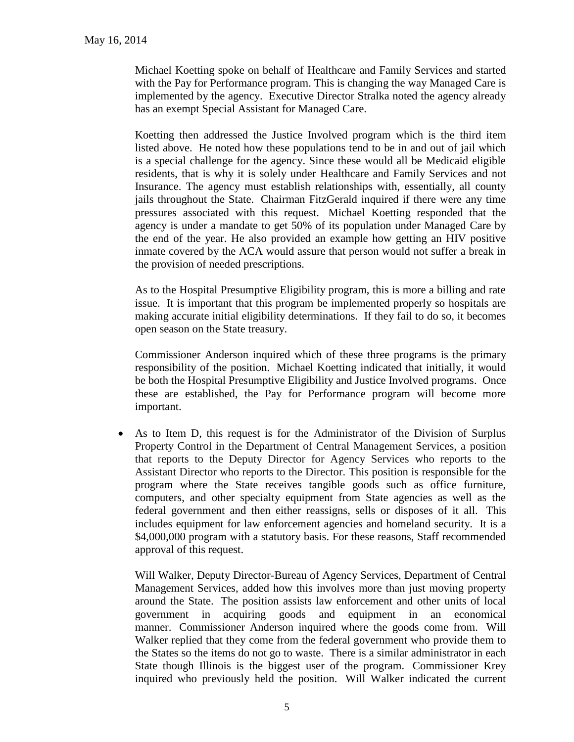Michael Koetting spoke on behalf of Healthcare and Family Services and started with the Pay for Performance program. This is changing the way Managed Care is implemented by the agency. Executive Director Stralka noted the agency already has an exempt Special Assistant for Managed Care.

Koetting then addressed the Justice Involved program which is the third item listed above. He noted how these populations tend to be in and out of jail which is a special challenge for the agency. Since these would all be Medicaid eligible residents, that is why it is solely under Healthcare and Family Services and not Insurance. The agency must establish relationships with, essentially, all county jails throughout the State. Chairman FitzGerald inquired if there were any time pressures associated with this request. Michael Koetting responded that the agency is under a mandate to get 50% of its population under Managed Care by the end of the year. He also provided an example how getting an HIV positive inmate covered by the ACA would assure that person would not suffer a break in the provision of needed prescriptions.

As to the Hospital Presumptive Eligibility program, this is more a billing and rate issue. It is important that this program be implemented properly so hospitals are making accurate initial eligibility determinations. If they fail to do so, it becomes open season on the State treasury.

Commissioner Anderson inquired which of these three programs is the primary responsibility of the position. Michael Koetting indicated that initially, it would be both the Hospital Presumptive Eligibility and Justice Involved programs. Once these are established, the Pay for Performance program will become more important.

 As to Item D, this request is for the Administrator of the Division of Surplus Property Control in the Department of Central Management Services, a position that reports to the Deputy Director for Agency Services who reports to the Assistant Director who reports to the Director. This position is responsible for the program where the State receives tangible goods such as office furniture, computers, and other specialty equipment from State agencies as well as the federal government and then either reassigns, sells or disposes of it all. This includes equipment for law enforcement agencies and homeland security. It is a \$4,000,000 program with a statutory basis. For these reasons, Staff recommended approval of this request.

Will Walker, Deputy Director-Bureau of Agency Services, Department of Central Management Services, added how this involves more than just moving property around the State. The position assists law enforcement and other units of local government in acquiring goods and equipment in an economical manner. Commissioner Anderson inquired where the goods come from. Will Walker replied that they come from the federal government who provide them to the States so the items do not go to waste. There is a similar administrator in each State though Illinois is the biggest user of the program. Commissioner Krey inquired who previously held the position. Will Walker indicated the current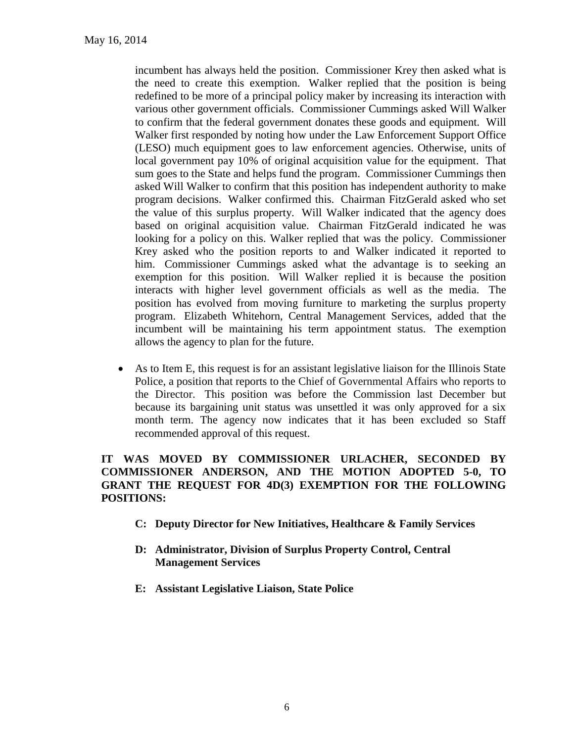incumbent has always held the position. Commissioner Krey then asked what is the need to create this exemption. Walker replied that the position is being redefined to be more of a principal policy maker by increasing its interaction with various other government officials. Commissioner Cummings asked Will Walker to confirm that the federal government donates these goods and equipment. Will Walker first responded by noting how under the Law Enforcement Support Office (LESO) much equipment goes to law enforcement agencies. Otherwise, units of local government pay 10% of original acquisition value for the equipment. That sum goes to the State and helps fund the program. Commissioner Cummings then asked Will Walker to confirm that this position has independent authority to make program decisions. Walker confirmed this. Chairman FitzGerald asked who set the value of this surplus property. Will Walker indicated that the agency does based on original acquisition value. Chairman FitzGerald indicated he was looking for a policy on this. Walker replied that was the policy. Commissioner Krey asked who the position reports to and Walker indicated it reported to him. Commissioner Cummings asked what the advantage is to seeking an exemption for this position. Will Walker replied it is because the position interacts with higher level government officials as well as the media. The position has evolved from moving furniture to marketing the surplus property program. Elizabeth Whitehorn, Central Management Services, added that the incumbent will be maintaining his term appointment status. The exemption allows the agency to plan for the future.

 As to Item E, this request is for an assistant legislative liaison for the Illinois State Police, a position that reports to the Chief of Governmental Affairs who reports to the Director. This position was before the Commission last December but because its bargaining unit status was unsettled it was only approved for a six month term. The agency now indicates that it has been excluded so Staff recommended approval of this request.

## **IT WAS MOVED BY COMMISSIONER URLACHER, SECONDED BY COMMISSIONER ANDERSON, AND THE MOTION ADOPTED 5-0, TO GRANT THE REQUEST FOR 4D(3) EXEMPTION FOR THE FOLLOWING POSITIONS:**

- **C: Deputy Director for New Initiatives, Healthcare & Family Services**
- **D: Administrator, Division of Surplus Property Control, Central Management Services**
- **E: Assistant Legislative Liaison, State Police**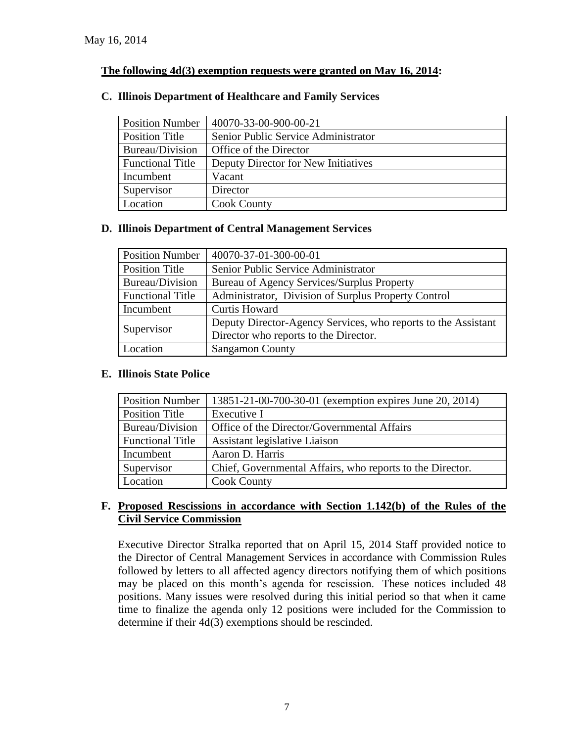## **The following 4d(3) exemption requests were granted on May 16, 2014:**

## **C. Illinois Department of Healthcare and Family Services**

| <b>Position Number</b>  | 40070-33-00-900-00-21               |
|-------------------------|-------------------------------------|
| Position Title          | Senior Public Service Administrator |
| Bureau/Division         | Office of the Director              |
| <b>Functional Title</b> | Deputy Director for New Initiatives |
| Incumbent               | Vacant                              |
| Supervisor              | Director                            |
| Location                | <b>Cook County</b>                  |

## **D. Illinois Department of Central Management Services**

| <b>Position Number</b>  | 40070-37-01-300-00-01                                         |
|-------------------------|---------------------------------------------------------------|
| <b>Position Title</b>   | Senior Public Service Administrator                           |
| Bureau/Division         | Bureau of Agency Services/Surplus Property                    |
| <b>Functional Title</b> | Administrator, Division of Surplus Property Control           |
| Incumbent               | <b>Curtis Howard</b>                                          |
|                         | Deputy Director-Agency Services, who reports to the Assistant |
| Supervisor              | Director who reports to the Director.                         |
| Location                | <b>Sangamon County</b>                                        |

## **E. Illinois State Police**

| <b>Position Number</b>  | 13851-21-00-700-30-01 (exemption expires June 20, 2014)   |
|-------------------------|-----------------------------------------------------------|
| Position Title          | Executive I                                               |
| Bureau/Division         | Office of the Director/Governmental Affairs               |
| <b>Functional Title</b> | Assistant legislative Liaison                             |
| Incumbent               | Aaron D. Harris                                           |
| Supervisor              | Chief, Governmental Affairs, who reports to the Director. |
| Location                | <b>Cook County</b>                                        |

#### **F. Proposed Rescissions in accordance with Section 1.142(b) of the Rules of the Civil Service Commission**

Executive Director Stralka reported that on April 15, 2014 Staff provided notice to the Director of Central Management Services in accordance with Commission Rules followed by letters to all affected agency directors notifying them of which positions may be placed on this month's agenda for rescission. These notices included 48 positions. Many issues were resolved during this initial period so that when it came time to finalize the agenda only 12 positions were included for the Commission to determine if their 4d(3) exemptions should be rescinded.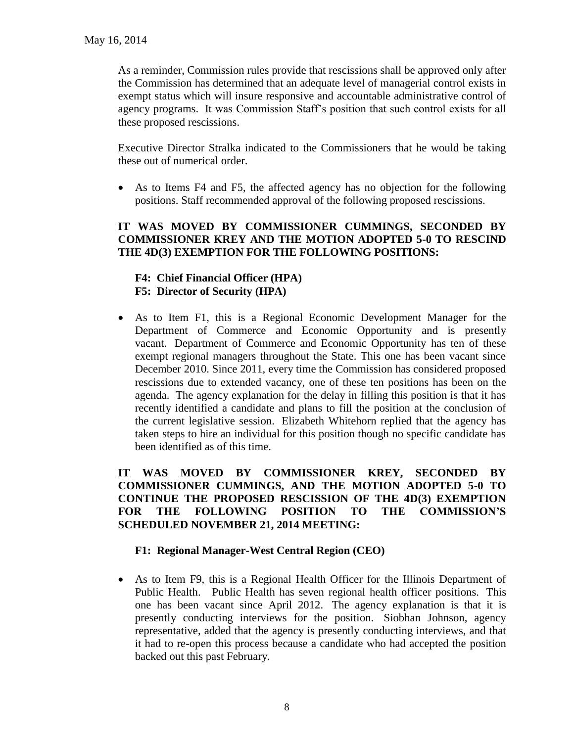As a reminder, Commission rules provide that rescissions shall be approved only after the Commission has determined that an adequate level of managerial control exists in exempt status which will insure responsive and accountable administrative control of agency programs. It was Commission Staff's position that such control exists for all these proposed rescissions.

Executive Director Stralka indicated to the Commissioners that he would be taking these out of numerical order.

 As to Items F4 and F5, the affected agency has no objection for the following positions. Staff recommended approval of the following proposed rescissions.

## **IT WAS MOVED BY COMMISSIONER CUMMINGS, SECONDED BY COMMISSIONER KREY AND THE MOTION ADOPTED 5-0 TO RESCIND THE 4D(3) EXEMPTION FOR THE FOLLOWING POSITIONS:**

## **F4: Chief Financial Officer (HPA) F5: Director of Security (HPA)**

 As to Item F1, this is a Regional Economic Development Manager for the Department of Commerce and Economic Opportunity and is presently vacant. Department of Commerce and Economic Opportunity has ten of these exempt regional managers throughout the State. This one has been vacant since December 2010. Since 2011, every time the Commission has considered proposed rescissions due to extended vacancy, one of these ten positions has been on the agenda. The agency explanation for the delay in filling this position is that it has recently identified a candidate and plans to fill the position at the conclusion of the current legislative session. Elizabeth Whitehorn replied that the agency has taken steps to hire an individual for this position though no specific candidate has been identified as of this time.

**IT WAS MOVED BY COMMISSIONER KREY, SECONDED BY COMMISSIONER CUMMINGS, AND THE MOTION ADOPTED 5-0 TO CONTINUE THE PROPOSED RESCISSION OF THE 4D(3) EXEMPTION FOR THE FOLLOWING POSITION TO THE COMMISSION'S SCHEDULED NOVEMBER 21, 2014 MEETING:**

## **F1: Regional Manager-West Central Region (CEO)**

 As to Item F9, this is a Regional Health Officer for the Illinois Department of Public Health. Public Health has seven regional health officer positions. This one has been vacant since April 2012. The agency explanation is that it is presently conducting interviews for the position. Siobhan Johnson, agency representative, added that the agency is presently conducting interviews, and that it had to re-open this process because a candidate who had accepted the position backed out this past February.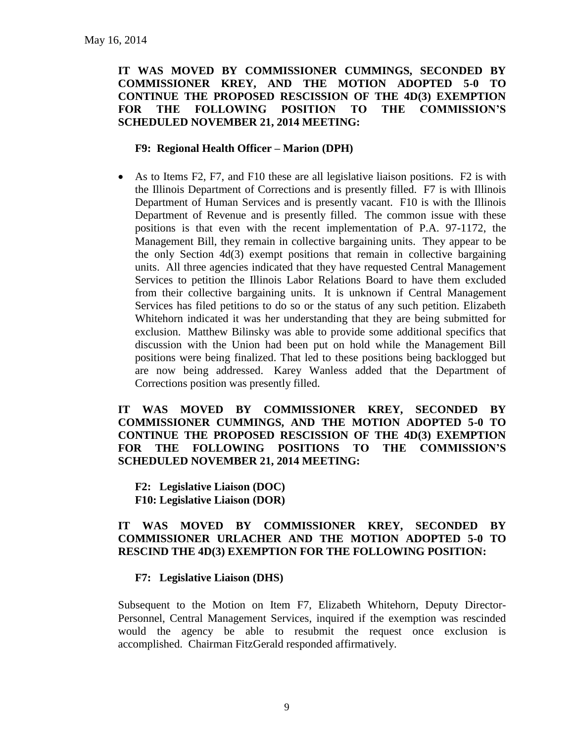## **IT WAS MOVED BY COMMISSIONER CUMMINGS, SECONDED BY COMMISSIONER KREY, AND THE MOTION ADOPTED 5-0 TO CONTINUE THE PROPOSED RESCISSION OF THE 4D(3) EXEMPTION FOR THE FOLLOWING POSITION TO THE COMMISSION'S SCHEDULED NOVEMBER 21, 2014 MEETING:**

#### **F9: Regional Health Officer – Marion (DPH)**

 As to Items F2, F7, and F10 these are all legislative liaison positions. F2 is with the Illinois Department of Corrections and is presently filled. F7 is with Illinois Department of Human Services and is presently vacant. F10 is with the Illinois Department of Revenue and is presently filled. The common issue with these positions is that even with the recent implementation of P.A. 97-1172, the Management Bill, they remain in collective bargaining units. They appear to be the only Section 4d(3) exempt positions that remain in collective bargaining units. All three agencies indicated that they have requested Central Management Services to petition the Illinois Labor Relations Board to have them excluded from their collective bargaining units. It is unknown if Central Management Services has filed petitions to do so or the status of any such petition. Elizabeth Whitehorn indicated it was her understanding that they are being submitted for exclusion. Matthew Bilinsky was able to provide some additional specifics that discussion with the Union had been put on hold while the Management Bill positions were being finalized. That led to these positions being backlogged but are now being addressed. Karey Wanless added that the Department of Corrections position was presently filled.

**IT WAS MOVED BY COMMISSIONER KREY, SECONDED BY COMMISSIONER CUMMINGS, AND THE MOTION ADOPTED 5-0 TO CONTINUE THE PROPOSED RESCISSION OF THE 4D(3) EXEMPTION FOR THE FOLLOWING POSITIONS TO THE COMMISSION'S SCHEDULED NOVEMBER 21, 2014 MEETING:**

**F2: Legislative Liaison (DOC) F10: Legislative Liaison (DOR)**

#### **IT WAS MOVED BY COMMISSIONER KREY, SECONDED BY COMMISSIONER URLACHER AND THE MOTION ADOPTED 5-0 TO RESCIND THE 4D(3) EXEMPTION FOR THE FOLLOWING POSITION:**

## **F7: Legislative Liaison (DHS)**

Subsequent to the Motion on Item F7, Elizabeth Whitehorn, Deputy Director-Personnel, Central Management Services, inquired if the exemption was rescinded would the agency be able to resubmit the request once exclusion is accomplished. Chairman FitzGerald responded affirmatively.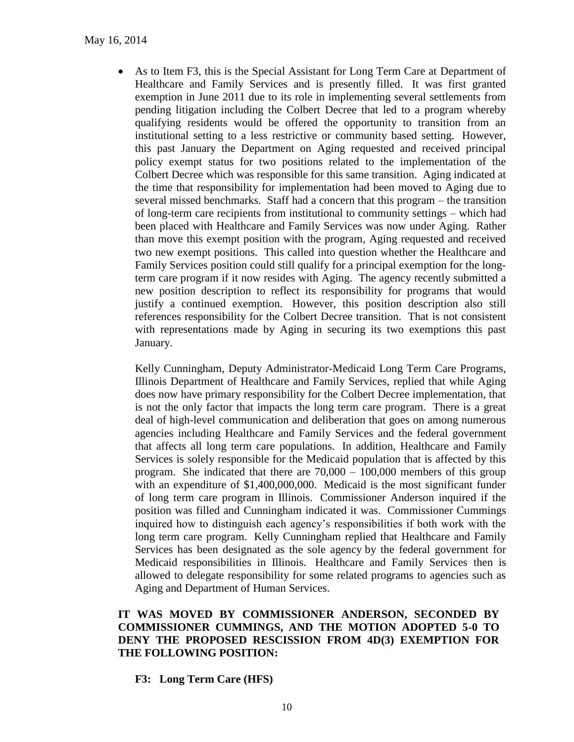As to Item F3, this is the Special Assistant for Long Term Care at Department of Healthcare and Family Services and is presently filled. It was first granted exemption in June 2011 due to its role in implementing several settlements from pending litigation including the Colbert Decree that led to a program whereby qualifying residents would be offered the opportunity to transition from an institutional setting to a less restrictive or community based setting. However, this past January the Department on Aging requested and received principal policy exempt status for two positions related to the implementation of the Colbert Decree which was responsible for this same transition. Aging indicated at the time that responsibility for implementation had been moved to Aging due to several missed benchmarks. Staff had a concern that this program – the transition of long-term care recipients from institutional to community settings – which had been placed with Healthcare and Family Services was now under Aging. Rather than move this exempt position with the program, Aging requested and received two new exempt positions. This called into question whether the Healthcare and Family Services position could still qualify for a principal exemption for the longterm care program if it now resides with Aging. The agency recently submitted a new position description to reflect its responsibility for programs that would justify a continued exemption. However, this position description also still references responsibility for the Colbert Decree transition. That is not consistent with representations made by Aging in securing its two exemptions this past January.

Kelly Cunningham, Deputy Administrator-Medicaid Long Term Care Programs, Illinois Department of Healthcare and Family Services, replied that while Aging does now have primary responsibility for the Colbert Decree implementation, that is not the only factor that impacts the long term care program. There is a great deal of high-level communication and deliberation that goes on among numerous agencies including Healthcare and Family Services and the federal government that affects all long term care populations. In addition, Healthcare and Family Services is solely responsible for the Medicaid population that is affected by this program. She indicated that there are  $70,000 - 100,000$  members of this group with an expenditure of \$1,400,000,000. Medicaid is the most significant funder of long term care program in Illinois. Commissioner Anderson inquired if the position was filled and Cunningham indicated it was. Commissioner Cummings inquired how to distinguish each agency's responsibilities if both work with the long term care program. Kelly Cunningham replied that Healthcare and Family Services has been designated as the sole agency by the federal government for Medicaid responsibilities in Illinois. Healthcare and Family Services then is allowed to delegate responsibility for some related programs to agencies such as Aging and Department of Human Services.

#### **IT WAS MOVED BY COMMISSIONER ANDERSON, SECONDED BY COMMISSIONER CUMMINGS, AND THE MOTION ADOPTED 5-0 TO DENY THE PROPOSED RESCISSION FROM 4D(3) EXEMPTION FOR THE FOLLOWING POSITION:**

**F3: Long Term Care (HFS)**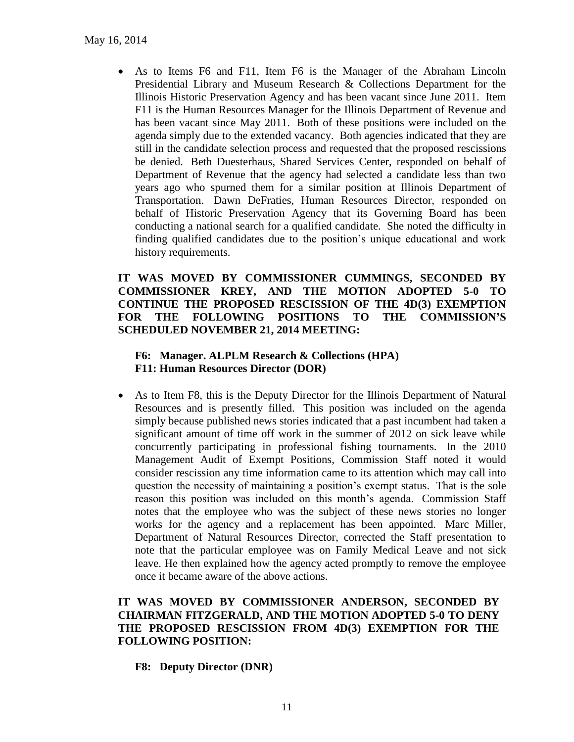As to Items F6 and F11, Item F6 is the Manager of the Abraham Lincoln Presidential Library and Museum Research & Collections Department for the Illinois Historic Preservation Agency and has been vacant since June 2011. Item F11 is the Human Resources Manager for the Illinois Department of Revenue and has been vacant since May 2011. Both of these positions were included on the agenda simply due to the extended vacancy. Both agencies indicated that they are still in the candidate selection process and requested that the proposed rescissions be denied. Beth Duesterhaus, Shared Services Center, responded on behalf of Department of Revenue that the agency had selected a candidate less than two years ago who spurned them for a similar position at Illinois Department of Transportation. Dawn DeFraties, Human Resources Director, responded on behalf of Historic Preservation Agency that its Governing Board has been conducting a national search for a qualified candidate. She noted the difficulty in finding qualified candidates due to the position's unique educational and work history requirements.

## **IT WAS MOVED BY COMMISSIONER CUMMINGS, SECONDED BY COMMISSIONER KREY, AND THE MOTION ADOPTED 5-0 TO CONTINUE THE PROPOSED RESCISSION OF THE 4D(3) EXEMPTION FOR THE FOLLOWING POSITIONS TO THE COMMISSION'S SCHEDULED NOVEMBER 21, 2014 MEETING:**

#### **F6: Manager. ALPLM Research & Collections (HPA) F11: Human Resources Director (DOR)**

 As to Item F8, this is the Deputy Director for the Illinois Department of Natural Resources and is presently filled. This position was included on the agenda simply because published news stories indicated that a past incumbent had taken a significant amount of time off work in the summer of 2012 on sick leave while concurrently participating in professional fishing tournaments. In the 2010 Management Audit of Exempt Positions, Commission Staff noted it would consider rescission any time information came to its attention which may call into question the necessity of maintaining a position's exempt status. That is the sole reason this position was included on this month's agenda. Commission Staff notes that the employee who was the subject of these news stories no longer works for the agency and a replacement has been appointed. Marc Miller, Department of Natural Resources Director, corrected the Staff presentation to note that the particular employee was on Family Medical Leave and not sick leave. He then explained how the agency acted promptly to remove the employee once it became aware of the above actions.

## **IT WAS MOVED BY COMMISSIONER ANDERSON, SECONDED BY CHAIRMAN FITZGERALD, AND THE MOTION ADOPTED 5-0 TO DENY THE PROPOSED RESCISSION FROM 4D(3) EXEMPTION FOR THE FOLLOWING POSITION:**

**F8: Deputy Director (DNR)**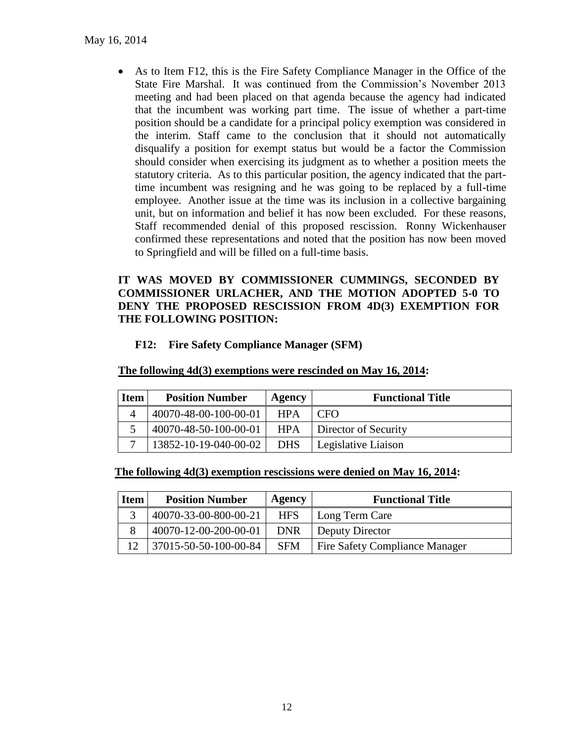As to Item F12, this is the Fire Safety Compliance Manager in the Office of the State Fire Marshal. It was continued from the Commission's November 2013 meeting and had been placed on that agenda because the agency had indicated that the incumbent was working part time. The issue of whether a part-time position should be a candidate for a principal policy exemption was considered in the interim. Staff came to the conclusion that it should not automatically disqualify a position for exempt status but would be a factor the Commission should consider when exercising its judgment as to whether a position meets the statutory criteria. As to this particular position, the agency indicated that the parttime incumbent was resigning and he was going to be replaced by a full-time employee. Another issue at the time was its inclusion in a collective bargaining unit, but on information and belief it has now been excluded. For these reasons, Staff recommended denial of this proposed rescission. Ronny Wickenhauser confirmed these representations and noted that the position has now been moved to Springfield and will be filled on a full-time basis.

#### **IT WAS MOVED BY COMMISSIONER CUMMINGS, SECONDED BY COMMISSIONER URLACHER, AND THE MOTION ADOPTED 5-0 TO DENY THE PROPOSED RESCISSION FROM 4D(3) EXEMPTION FOR THE FOLLOWING POSITION:**

## **F12: Fire Safety Compliance Manager (SFM)**

| <b>Item</b> | <b>Position Number</b> | Agency     | <b>Functional Title</b> |
|-------------|------------------------|------------|-------------------------|
|             | 40070-48-00-100-00-01  | <b>HPA</b> | <b>CFO</b>              |
|             | 40070-48-50-100-00-01  | <b>HPA</b> | Director of Security    |
|             | 13852-10-19-040-00-02  | DHS        | Legislative Liaison     |

#### **The following 4d(3) exemptions were rescinded on May 16, 2014:**

**The following 4d(3) exemption rescissions were denied on May 16, 2014:**

| <b>Item</b> | <b>Position Number</b> | Agency     | <b>Functional Title</b>               |
|-------------|------------------------|------------|---------------------------------------|
| 3           | 40070-33-00-800-00-21  | <b>HFS</b> | Long Term Care                        |
| 8           | 40070-12-00-200-00-01  | <b>DNR</b> | Deputy Director                       |
|             | 37015-50-50-100-00-84  | <b>SFM</b> | <b>Fire Safety Compliance Manager</b> |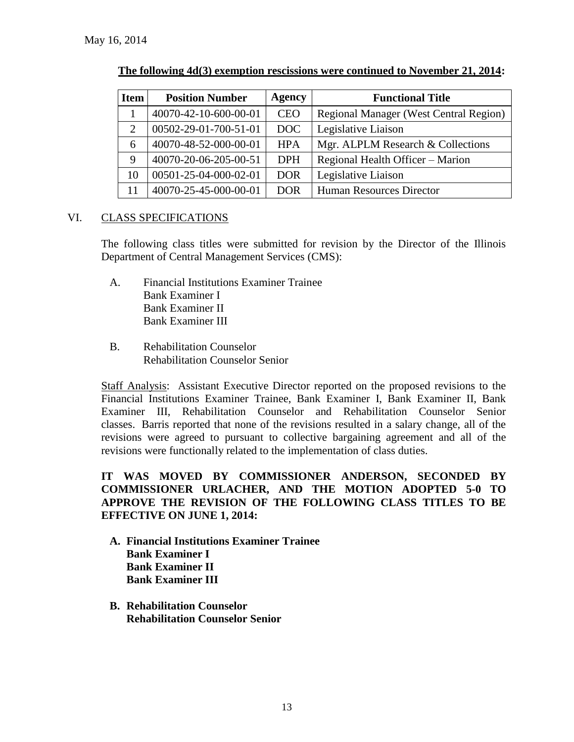| <b>Item</b> | <b>Position Number</b> | <b>Agency</b> | <b>Functional Title</b>                       |
|-------------|------------------------|---------------|-----------------------------------------------|
|             | 40070-42-10-600-00-01  | <b>CEO</b>    | <b>Regional Manager (West Central Region)</b> |
| 2           | 00502-29-01-700-51-01  | <b>DOC</b>    | Legislative Liaison                           |
| 6           | 40070-48-52-000-00-01  | <b>HPA</b>    | Mgr. ALPLM Research & Collections             |
| 9           | 40070-20-06-205-00-51  | <b>DPH</b>    | Regional Health Officer – Marion              |
| 10          | 00501-25-04-000-02-01  | <b>DOR</b>    | Legislative Liaison                           |
|             | 40070-25-45-000-00-01  | <b>DOR</b>    | <b>Human Resources Director</b>               |

#### VI. CLASS SPECIFICATIONS

The following class titles were submitted for revision by the Director of the Illinois Department of Central Management Services (CMS):

- A. Financial Institutions Examiner Trainee Bank Examiner I Bank Examiner II Bank Examiner III
- B. Rehabilitation Counselor Rehabilitation Counselor Senior

Staff Analysis: Assistant Executive Director reported on the proposed revisions to the Financial Institutions Examiner Trainee, Bank Examiner I, Bank Examiner II, Bank Examiner III, Rehabilitation Counselor and Rehabilitation Counselor Senior classes. Barris reported that none of the revisions resulted in a salary change, all of the revisions were agreed to pursuant to collective bargaining agreement and all of the revisions were functionally related to the implementation of class duties.

## **IT WAS MOVED BY COMMISSIONER ANDERSON, SECONDED BY COMMISSIONER URLACHER, AND THE MOTION ADOPTED 5-0 TO APPROVE THE REVISION OF THE FOLLOWING CLASS TITLES TO BE EFFECTIVE ON JUNE 1, 2014:**

- **A. Financial Institutions Examiner Trainee Bank Examiner I Bank Examiner II Bank Examiner III**
- **B. Rehabilitation Counselor Rehabilitation Counselor Senior**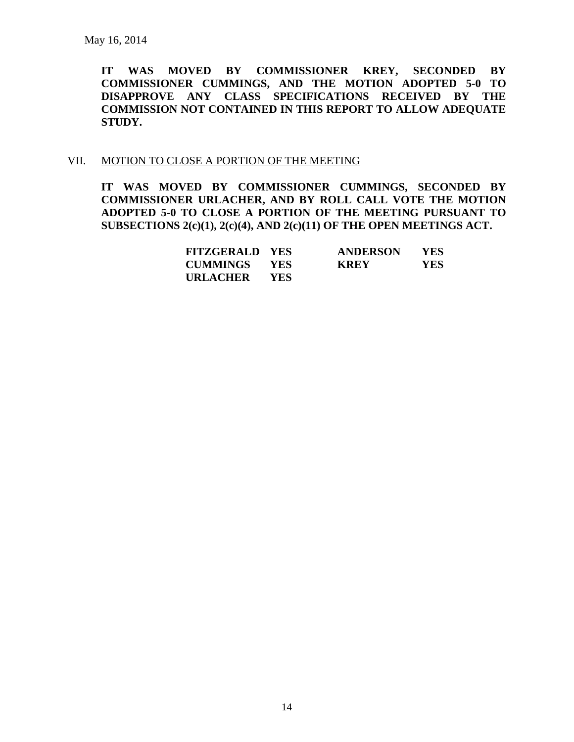**IT WAS MOVED BY COMMISSIONER KREY, SECONDED BY COMMISSIONER CUMMINGS, AND THE MOTION ADOPTED 5-0 TO DISAPPROVE ANY CLASS SPECIFICATIONS RECEIVED BY THE COMMISSION NOT CONTAINED IN THIS REPORT TO ALLOW ADEQUATE STUDY.** 

#### VII. MOTION TO CLOSE A PORTION OF THE MEETING

**IT WAS MOVED BY COMMISSIONER CUMMINGS, SECONDED BY COMMISSIONER URLACHER, AND BY ROLL CALL VOTE THE MOTION ADOPTED 5-0 TO CLOSE A PORTION OF THE MEETING PURSUANT TO SUBSECTIONS 2(c)(1), 2(c)(4), AND 2(c)(11) OF THE OPEN MEETINGS ACT.**

| <b>FITZGERALD YES</b> |            | <b>ANDERSON</b> | <b>YES</b> |
|-----------------------|------------|-----------------|------------|
| <b>CUMMINGS YES</b>   |            | <b>KREY</b>     | <b>YES</b> |
| URLACHER              | <b>YES</b> |                 |            |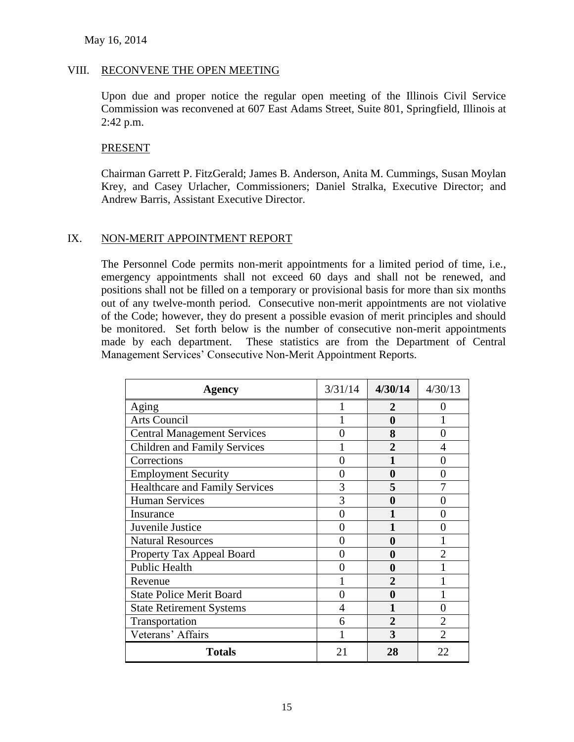#### VIII. RECONVENE THE OPEN MEETING

Upon due and proper notice the regular open meeting of the Illinois Civil Service Commission was reconvened at 607 East Adams Street, Suite 801, Springfield, Illinois at 2:42 p.m.

#### PRESENT

Chairman Garrett P. FitzGerald; James B. Anderson, Anita M. Cummings, Susan Moylan Krey, and Casey Urlacher, Commissioners; Daniel Stralka, Executive Director; and Andrew Barris, Assistant Executive Director.

#### IX. NON-MERIT APPOINTMENT REPORT

The Personnel Code permits non-merit appointments for a limited period of time, i.e., emergency appointments shall not exceed 60 days and shall not be renewed, and positions shall not be filled on a temporary or provisional basis for more than six months out of any twelve-month period. Consecutive non-merit appointments are not violative of the Code; however, they do present a possible evasion of merit principles and should be monitored. Set forth below is the number of consecutive non-merit appointments made by each department. These statistics are from the Department of Central Management Services' Consecutive Non-Merit Appointment Reports.

| <b>Agency</b>                         | 3/31/14 | 4/30/14        | 4/30/13        |
|---------------------------------------|---------|----------------|----------------|
| Aging                                 |         | 2              |                |
| <b>Arts Council</b>                   |         | 0              |                |
| <b>Central Management Services</b>    | 0       | 8              | 0              |
| <b>Children and Family Services</b>   |         | $\overline{2}$ |                |
| Corrections                           |         |                |                |
| <b>Employment Security</b>            | 0       | 0              |                |
| <b>Healthcare and Family Services</b> | 3       | 5              |                |
| <b>Human Services</b>                 | 3       | 0              |                |
| Insurance                             |         |                |                |
| Juvenile Justice                      | 0       |                |                |
| <b>Natural Resources</b>              | 0       | 0              |                |
| Property Tax Appeal Board             | 0       | 0              | $\mathcal{D}$  |
| <b>Public Health</b>                  | 0       | 0              |                |
| Revenue                               |         |                |                |
| <b>State Police Merit Board</b>       |         | 0              |                |
| <b>State Retirement Systems</b>       |         |                |                |
| Transportation                        | 6       | $\mathbf 2$    | 2              |
| Veterans' Affairs                     |         | 3              | $\mathfrak{D}$ |
| <b>Totals</b>                         | 21      | 28             | 22             |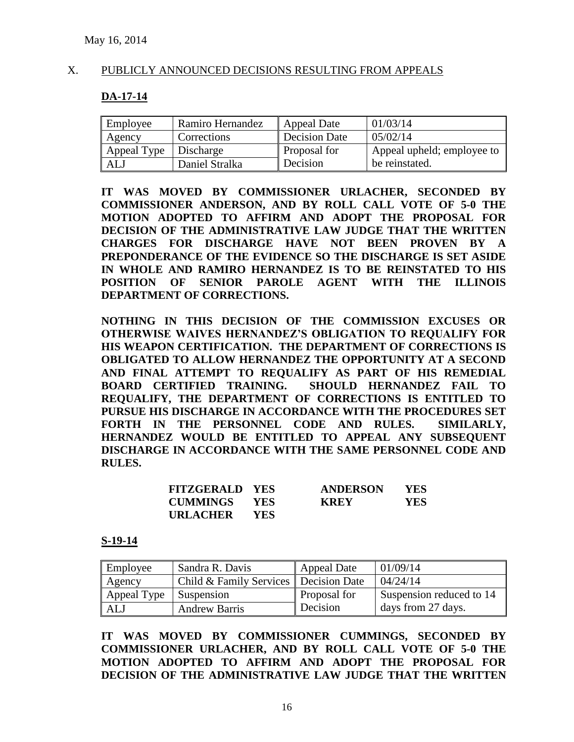#### X. PUBLICLY ANNOUNCED DECISIONS RESULTING FROM APPEALS

#### **DA-17-14**

| Employee    | Ramiro Hernandez | <b>Appeal Date</b> | 01/03/14                   |
|-------------|------------------|--------------------|----------------------------|
| Agency      | Corrections      | Decision Date      | 05/02/14                   |
| Appeal Type | Discharge        | Proposal for       | Appeal upheld; employee to |
| ALJ         | Daniel Stralka   | Decision           | be reinstated.             |

**IT WAS MOVED BY COMMISSIONER URLACHER, SECONDED BY COMMISSIONER ANDERSON, AND BY ROLL CALL VOTE OF 5-0 THE MOTION ADOPTED TO AFFIRM AND ADOPT THE PROPOSAL FOR DECISION OF THE ADMINISTRATIVE LAW JUDGE THAT THE WRITTEN CHARGES FOR DISCHARGE HAVE NOT BEEN PROVEN BY A PREPONDERANCE OF THE EVIDENCE SO THE DISCHARGE IS SET ASIDE IN WHOLE AND RAMIRO HERNANDEZ IS TO BE REINSTATED TO HIS POSITION OF SENIOR PAROLE AGENT WITH THE ILLINOIS DEPARTMENT OF CORRECTIONS.** 

**NOTHING IN THIS DECISION OF THE COMMISSION EXCUSES OR OTHERWISE WAIVES HERNANDEZ'S OBLIGATION TO REQUALIFY FOR HIS WEAPON CERTIFICATION. THE DEPARTMENT OF CORRECTIONS IS OBLIGATED TO ALLOW HERNANDEZ THE OPPORTUNITY AT A SECOND AND FINAL ATTEMPT TO REQUALIFY AS PART OF HIS REMEDIAL BOARD CERTIFIED TRAINING. SHOULD HERNANDEZ FAIL TO REQUALIFY, THE DEPARTMENT OF CORRECTIONS IS ENTITLED TO PURSUE HIS DISCHARGE IN ACCORDANCE WITH THE PROCEDURES SET FORTH IN THE PERSONNEL CODE AND RULES. SIMILARLY, HERNANDEZ WOULD BE ENTITLED TO APPEAL ANY SUBSEQUENT DISCHARGE IN ACCORDANCE WITH THE SAME PERSONNEL CODE AND RULES.**

| <b>FITZGERALD YES</b> |            | <b>ANDERSON</b> | <b>YES</b> |
|-----------------------|------------|-----------------|------------|
| CUMMINGS YES          |            | <b>KREY</b>     | YES.       |
| URLACHER              | <b>YES</b> |                 |            |

#### **S-19-14**

| Employee    | Sandra R. Davis                         | <b>Appeal Date</b> | 01/09/14                 |
|-------------|-----------------------------------------|--------------------|--------------------------|
| Agency      | Child & Family Services   Decision Date |                    | 04/24/14                 |
| Appeal Type | <b>Suspension</b>                       | Proposal for       | Suspension reduced to 14 |
| ALJ         | <b>Andrew Barris</b>                    | Decision           | days from 27 days.       |

**IT WAS MOVED BY COMMISSIONER CUMMINGS, SECONDED BY COMMISSIONER URLACHER, AND BY ROLL CALL VOTE OF 5-0 THE MOTION ADOPTED TO AFFIRM AND ADOPT THE PROPOSAL FOR DECISION OF THE ADMINISTRATIVE LAW JUDGE THAT THE WRITTEN**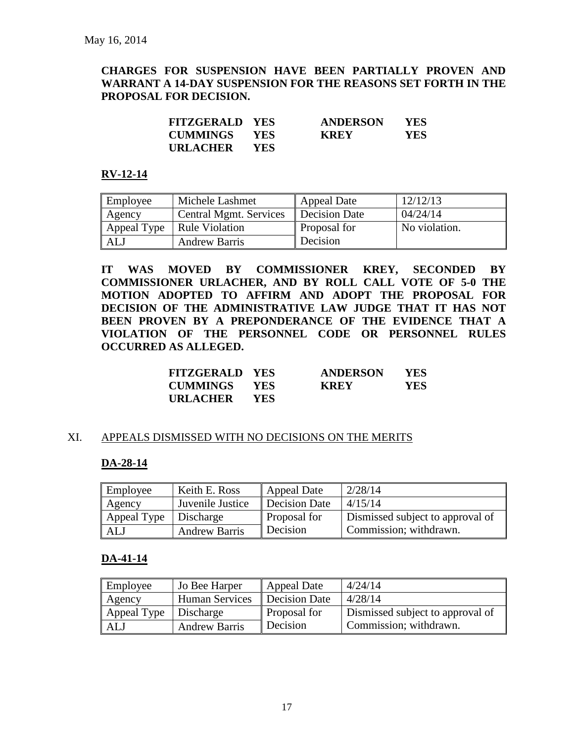## **CHARGES FOR SUSPENSION HAVE BEEN PARTIALLY PROVEN AND WARRANT A 14-DAY SUSPENSION FOR THE REASONS SET FORTH IN THE PROPOSAL FOR DECISION.**

| <b>FITZGERALD YES</b> |            | <b>ANDERSON</b> | <b>YES</b> |
|-----------------------|------------|-----------------|------------|
| <b>CUMMINGS YES</b>   |            | <b>KREY</b>     | YES.       |
| URLACHER              | <b>YES</b> |                 |            |

#### **RV-12-14**

| Employee | Michele Lashmet              | <b>Appeal Date</b> | 12/12/13      |
|----------|------------------------------|--------------------|---------------|
| Agency   | Central Mgmt. Services       | Decision Date      | 04/24/14      |
|          | Appeal Type   Rule Violation | Proposal for       | No violation. |
| ALJ      | <b>Andrew Barris</b>         | Decision           |               |

**IT WAS MOVED BY COMMISSIONER KREY, SECONDED BY COMMISSIONER URLACHER, AND BY ROLL CALL VOTE OF 5-0 THE MOTION ADOPTED TO AFFIRM AND ADOPT THE PROPOSAL FOR DECISION OF THE ADMINISTRATIVE LAW JUDGE THAT IT HAS NOT BEEN PROVEN BY A PREPONDERANCE OF THE EVIDENCE THAT A VIOLATION OF THE PERSONNEL CODE OR PERSONNEL RULES OCCURRED AS ALLEGED.**

| <b>FITZGERALD YES</b> |            | <b>ANDERSON</b> | <b>YES</b> |
|-----------------------|------------|-----------------|------------|
| <b>CUMMINGS</b>       | <b>YES</b> | <b>KREY</b>     | <b>YES</b> |
| URLACHER              | <b>YES</b> |                 |            |

#### XI. APPEALS DISMISSED WITH NO DECISIONS ON THE MERITS

#### **DA-28-14**

| Employee                | Keith E. Ross        | Appeal Date          | 2/28/14                          |
|-------------------------|----------------------|----------------------|----------------------------------|
| Agency                  | Juvenile Justice     | <b>Decision Date</b> | 4/15/14                          |
| Appeal Type   Discharge |                      | Proposal for         | Dismissed subject to approval of |
| <b>ALJ</b>              | <b>Andrew Barris</b> | Decision             | Commission; withdrawn.           |

#### **DA-41-14**

| Employee    | Jo Bee Harper         | <b>Appeal Date</b>   | 4/24/14                          |
|-------------|-----------------------|----------------------|----------------------------------|
| Agency      | <b>Human Services</b> | <b>Decision Date</b> | 4/28/14                          |
| Appeal Type | Discharge             | Proposal for         | Dismissed subject to approval of |
| ALJ         | <b>Andrew Barris</b>  | Decision             | Commission; withdrawn.           |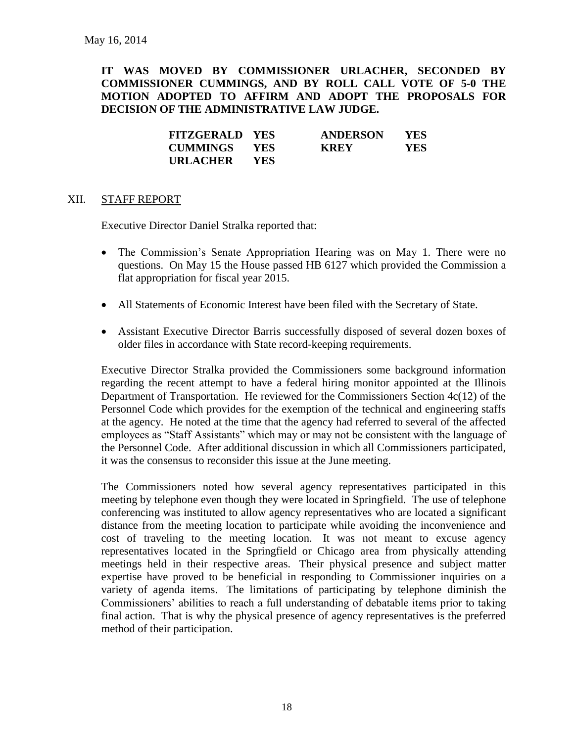**IT WAS MOVED BY COMMISSIONER URLACHER, SECONDED BY COMMISSIONER CUMMINGS, AND BY ROLL CALL VOTE OF 5-0 THE MOTION ADOPTED TO AFFIRM AND ADOPT THE PROPOSALS FOR DECISION OF THE ADMINISTRATIVE LAW JUDGE.**

| <b>FITZGERALD YES</b> |            | <b>ANDERSON</b> | YES.       |
|-----------------------|------------|-----------------|------------|
| <b>CUMMINGS YES</b>   |            | <b>KREY</b>     | <b>YES</b> |
| <b>URLACHER</b>       | <b>YES</b> |                 |            |

#### XII. STAFF REPORT

Executive Director Daniel Stralka reported that:

- The Commission's Senate Appropriation Hearing was on May 1. There were no questions. On May 15 the House passed HB 6127 which provided the Commission a flat appropriation for fiscal year 2015.
- All Statements of Economic Interest have been filed with the Secretary of State.
- Assistant Executive Director Barris successfully disposed of several dozen boxes of older files in accordance with State record-keeping requirements.

Executive Director Stralka provided the Commissioners some background information regarding the recent attempt to have a federal hiring monitor appointed at the Illinois Department of Transportation. He reviewed for the Commissioners Section 4c(12) of the Personnel Code which provides for the exemption of the technical and engineering staffs at the agency. He noted at the time that the agency had referred to several of the affected employees as "Staff Assistants" which may or may not be consistent with the language of the Personnel Code. After additional discussion in which all Commissioners participated, it was the consensus to reconsider this issue at the June meeting.

The Commissioners noted how several agency representatives participated in this meeting by telephone even though they were located in Springfield. The use of telephone conferencing was instituted to allow agency representatives who are located a significant distance from the meeting location to participate while avoiding the inconvenience and cost of traveling to the meeting location. It was not meant to excuse agency representatives located in the Springfield or Chicago area from physically attending meetings held in their respective areas. Their physical presence and subject matter expertise have proved to be beneficial in responding to Commissioner inquiries on a variety of agenda items. The limitations of participating by telephone diminish the Commissioners' abilities to reach a full understanding of debatable items prior to taking final action. That is why the physical presence of agency representatives is the preferred method of their participation.